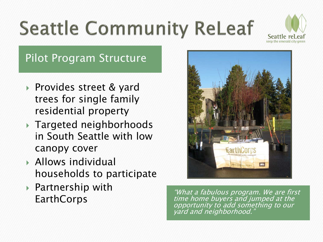

#### Pilot Program Structure

- ▶ Provides street & yard trees for single family residential property
- ▶ Targeted neighborhoods in South Seattle with low canopy cover
- **Allows individual** households to participate
- ▶ Partnership with **EarthCorps**



"What a fabulous program. We are first time home buyers and jumped at the opportunity to add something to our yard and neighborhood."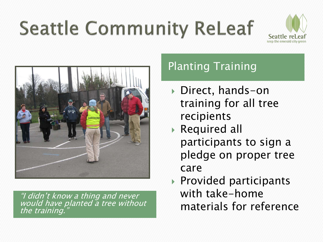



"I didn't know a thing and never would have planted a tree without the training.

#### Planting Training

- Direct, hands-on training for all tree recipients
- Required all participants to sign a pledge on proper tree care
- ▶ Provided participants with take-home materials for reference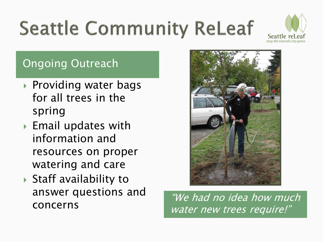

#### Ongoing Outreach

- ▶ Providing water bags for all trees in the spring
- ▶ Email updates with information and resources on proper watering and care
- ▶ Staff availability to answer questions and concerns



"We had no idea how much water new trees require!"